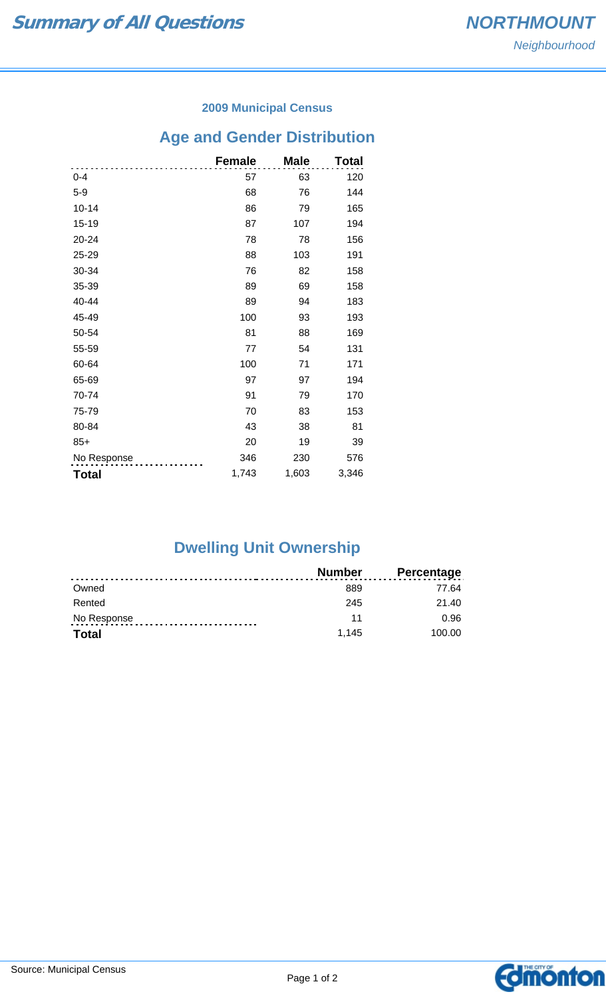#### **2009 Municipal Census**

# **Age and Gender Distribution**

|              | <b>Female</b> | <b>Male</b> | Total |
|--------------|---------------|-------------|-------|
| $0 - 4$      | 57            | 63          | 120   |
| $5-9$        | 68            | 76          | 144   |
| $10 - 14$    | 86            | 79          | 165   |
| 15-19        | 87            | 107         | 194   |
| 20-24        | 78            | 78          | 156   |
| 25-29        | 88            | 103         | 191   |
| 30-34        | 76            | 82          | 158   |
| 35-39        | 89            | 69          | 158   |
| 40-44        | 89            | 94          | 183   |
| 45-49        | 100           | 93          | 193   |
| 50-54        | 81            | 88          | 169   |
| 55-59        | 77            | 54          | 131   |
| 60-64        | 100           | 71          | 171   |
| 65-69        | 97            | 97          | 194   |
| 70-74        | 91            | 79          | 170   |
| 75-79        | 70            | 83          | 153   |
| 80-84        | 43            | 38          | 81    |
| $85+$        | 20            | 19          | 39    |
| No Response  | 346           | 230         | 576   |
| <b>Total</b> | 1,743         | 1,603       | 3,346 |

## **Dwelling Unit Ownership**

|              | Number | <b>Percentage</b> |
|--------------|--------|-------------------|
| Owned        | 889    | 77.64             |
| Rented       | 245    | 21.40             |
| No Response  | 11     | 0.96              |
| <b>Total</b> | 1.145  | 100.00            |